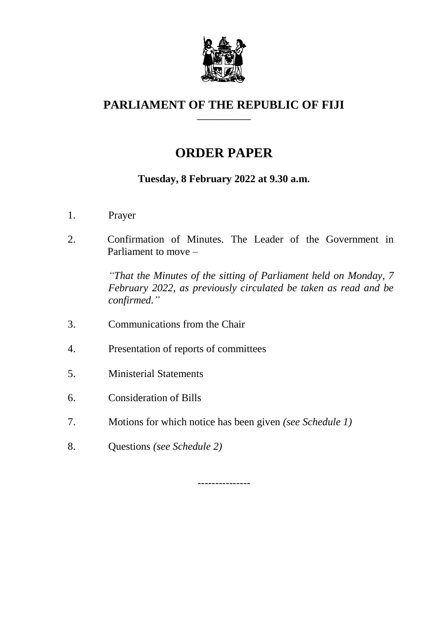

#### **PARLIAMENT OF THE REPUBLIC OF FIJI \_\_\_\_\_\_\_\_\_\_\_\_\_**

# **ORDER PAPER**

### **Tuesday, 8 February 2022 at 9.30 a.m.**

- 1. Prayer
- 2. Confirmation of Minutes. The Leader of the Government in Parliament to move –

*"That the Minutes of the sitting of Parliament held on Monday, 7 February 2022, as previously circulated be taken as read and be confirmed."*

- 3. Communications from the Chair
- 4. Presentation of reports of committees
- 5. Ministerial Statements
- 6. Consideration of Bills
- 7. Motions for which notice has been given *(see Schedule 1)*
- 8. Questions *(see Schedule 2)*

---------------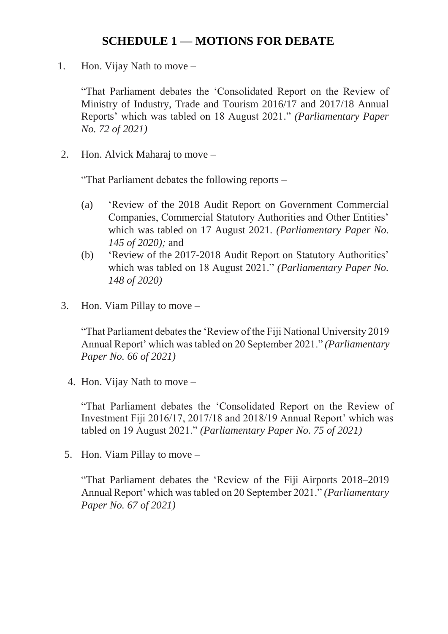# **SCHEDULE 1 — MOTIONS FOR DEBATE**

1. Hon. Vijay Nath to move –

"That Parliament debates the 'Consolidated Report on the Review of Ministry of Industry, Trade and Tourism 2016/17 and 2017/18 Annual Reports' which was tabled on 18 August 2021." *(Parliamentary Paper No. 72 of 2021)*

2. Hon. Alvick Maharaj to move –

"That Parliament debates the following reports –

- (a) 'Review of the 2018 Audit Report on Government Commercial Companies, Commercial Statutory Authorities and Other Entities' which was tabled on 17 August 2021. *(Parliamentary Paper No. 145 of 2020);* and
- (b) 'Review of the 2017-2018 Audit Report on Statutory Authorities' which was tabled on 18 August 2021." *(Parliamentary Paper No. 148 of 2020)*
- 3. Hon. Viam Pillay to move –

"That Parliament debates the 'Review of the Fiji National University 2019 Annual Report' which was tabled on 20 September 2021." *(Parliamentary Paper No. 66 of 2021)*

4. Hon. Vijay Nath to move –

"That Parliament debates the 'Consolidated Report on the Review of Investment Fiji 2016/17, 2017/18 and 2018/19 Annual Report' which was tabled on 19 August 2021." *(Parliamentary Paper No. 75 of 2021)*

5. Hon. Viam Pillay to move –

"That Parliament debates the 'Review of the Fiji Airports 2018–2019 Annual Report' which was tabled on 20 September 2021." *(Parliamentary Paper No. 67 of 2021)*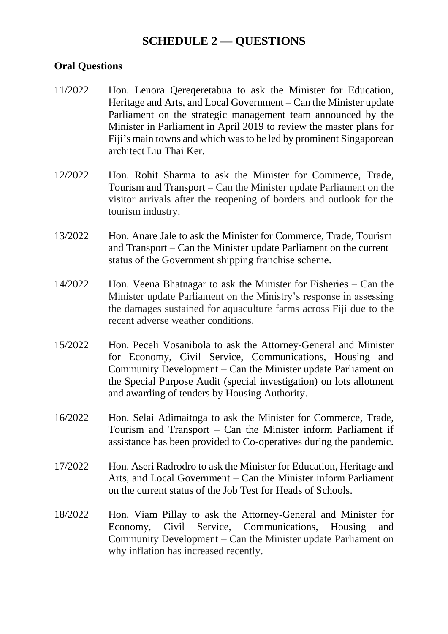## **SCHEDULE 2 — QUESTIONS**

#### **Oral Questions**

- 11/2022 Hon. Lenora Qereqeretabua to ask the Minister for Education, Heritage and Arts, and Local Government – Can the Minister update Parliament on the strategic management team announced by the Minister in Parliament in April 2019 to review the master plans for Fiji's main towns and which was to be led by prominent Singaporean architect Liu Thai Ker.
- 12/2022 Hon. Rohit Sharma to ask the Minister for Commerce, Trade, Tourism and Transport – Can the Minister update Parliament on the visitor arrivals after the reopening of borders and outlook for the tourism industry.
- 13/2022 Hon. Anare Jale to ask the Minister for Commerce, Trade, Tourism and Transport – Can the Minister update Parliament on the current status of the Government shipping franchise scheme.
- 14/2022 Hon. Veena Bhatnagar to ask the Minister for Fisheries Can the Minister update Parliament on the Ministry's response in assessing the damages sustained for aquaculture farms across Fiji due to the recent adverse weather conditions.
- 15/2022 Hon. Peceli Vosanibola to ask the Attorney-General and Minister for Economy, Civil Service, Communications, Housing and Community Development – Can the Minister update Parliament on the Special Purpose Audit (special investigation) on lots allotment and awarding of tenders by Housing Authority.
- 16/2022 Hon. Selai Adimaitoga to ask the Minister for Commerce, Trade, Tourism and Transport – Can the Minister inform Parliament if assistance has been provided to Co-operatives during the pandemic.
- 17/2022 Hon. Aseri Radrodro to ask the Minister for Education, Heritage and Arts, and Local Government – Can the Minister inform Parliament on the current status of the Job Test for Heads of Schools.
- 18/2022 Hon. Viam Pillay to ask the Attorney-General and Minister for Economy, Civil Service, Communications, Housing and Community Development – Can the Minister update Parliament on why inflation has increased recently.